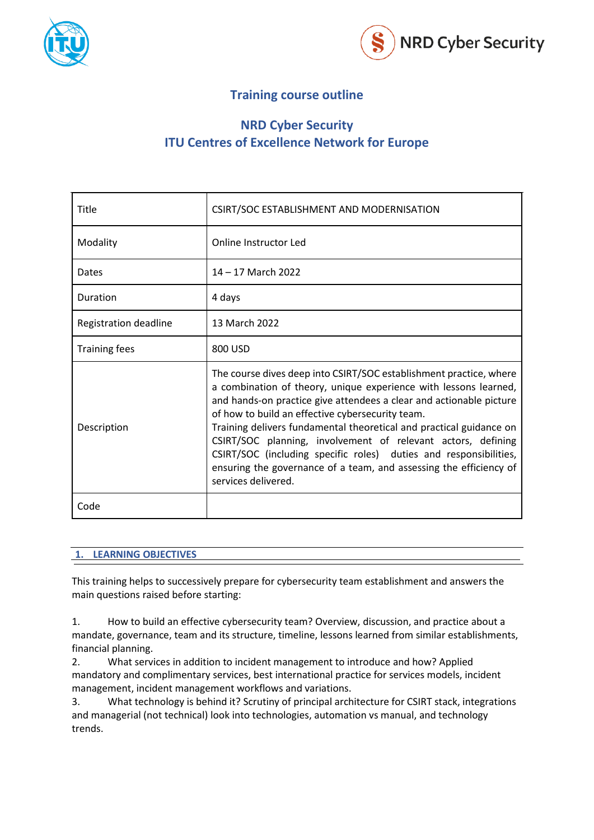



# **Training course outline**

# **NRD Cyber Security ITU Centres of Excellence Network for Europe**

| Title                 | CSIRT/SOC ESTABLISHMENT AND MODERNISATION                                                                                                                                                                                                                                                                                                                                                                                                                                                                                                                                  |
|-----------------------|----------------------------------------------------------------------------------------------------------------------------------------------------------------------------------------------------------------------------------------------------------------------------------------------------------------------------------------------------------------------------------------------------------------------------------------------------------------------------------------------------------------------------------------------------------------------------|
| Modality              | Online Instructor Led                                                                                                                                                                                                                                                                                                                                                                                                                                                                                                                                                      |
| Dates                 | 14 - 17 March 2022                                                                                                                                                                                                                                                                                                                                                                                                                                                                                                                                                         |
| Duration              | 4 days                                                                                                                                                                                                                                                                                                                                                                                                                                                                                                                                                                     |
| Registration deadline | 13 March 2022                                                                                                                                                                                                                                                                                                                                                                                                                                                                                                                                                              |
| <b>Training fees</b>  | 800 USD                                                                                                                                                                                                                                                                                                                                                                                                                                                                                                                                                                    |
| Description           | The course dives deep into CSIRT/SOC establishment practice, where<br>a combination of theory, unique experience with lessons learned,<br>and hands-on practice give attendees a clear and actionable picture<br>of how to build an effective cybersecurity team.<br>Training delivers fundamental theoretical and practical guidance on<br>CSIRT/SOC planning, involvement of relevant actors, defining<br>CSIRT/SOC (including specific roles) duties and responsibilities,<br>ensuring the governance of a team, and assessing the efficiency of<br>services delivered. |
| Code                  |                                                                                                                                                                                                                                                                                                                                                                                                                                                                                                                                                                            |

#### **1. LEARNING OBJECTIVES**

This training helps to successively prepare for cybersecurity team establishment and answers the main questions raised before starting:

1. How to build an effective cybersecurity team? Overview, discussion, and practice about a mandate, governance, team and its structure, timeline, lessons learned from similar establishments, financial planning.

2. What services in addition to incident management to introduce and how? Applied mandatory and complimentary services, best international practice for services models, incident management, incident management workflows and variations.

3. What technology is behind it? Scrutiny of principal architecture for CSIRT stack, integrations and managerial (not technical) look into technologies, automation vs manual, and technology trends.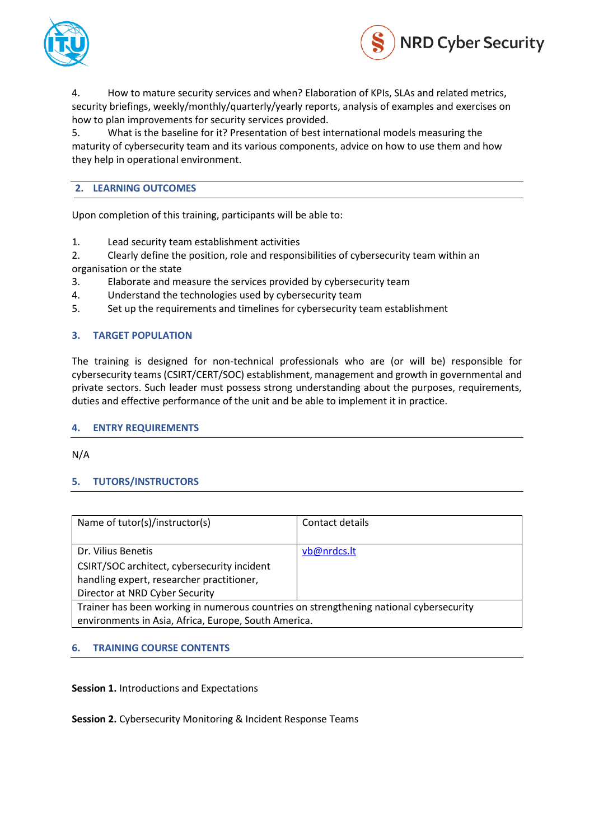



4. How to mature security services and when? Elaboration of KPIs, SLAs and related metrics, security briefings, weekly/monthly/quarterly/yearly reports, analysis of examples and exercises on how to plan improvements for security services provided.

5. What is the baseline for it? Presentation of best international models measuring the maturity of cybersecurity team and its various components, advice on how to use them and how they help in operational environment.

## **2. LEARNING OUTCOMES**

Upon completion of this training, participants will be able to:

- 1. Lead security team establishment activities
- 2. Clearly define the position, role and responsibilities of cybersecurity team within an organisation or the state
- 3. Elaborate and measure the services provided by cybersecurity team
- 4. Understand the technologies used by cybersecurity team
- 5. Set up the requirements and timelines for cybersecurity team establishment

## **3. TARGET POPULATION**

The training is designed for non-technical professionals who are (or will be) responsible for cybersecurity teams (CSIRT/CERT/SOC) establishment, management and growth in governmental and private sectors. Such leader must possess strong understanding about the purposes, requirements, duties and effective performance of the unit and be able to implement it in practice.

#### **4. ENTRY REQUIREMENTS**

N/A

# **5. TUTORS/INSTRUCTORS**

| Name of tutor(s)/instructor(s)                                                         | Contact details |  |  |
|----------------------------------------------------------------------------------------|-----------------|--|--|
| Dr. Vilius Benetis                                                                     | vb@nrdcs.lt     |  |  |
| CSIRT/SOC architect, cybersecurity incident                                            |                 |  |  |
| handling expert, researcher practitioner,                                              |                 |  |  |
| Director at NRD Cyber Security                                                         |                 |  |  |
| Trainer has been working in numerous countries on strengthening national cybersecurity |                 |  |  |
| environments in Asia, Africa, Europe, South America.                                   |                 |  |  |

# **6. TRAINING COURSE CONTENTS**

**Session 1.** Introductions and Expectations

**Session 2.** Cybersecurity Monitoring & Incident Response Teams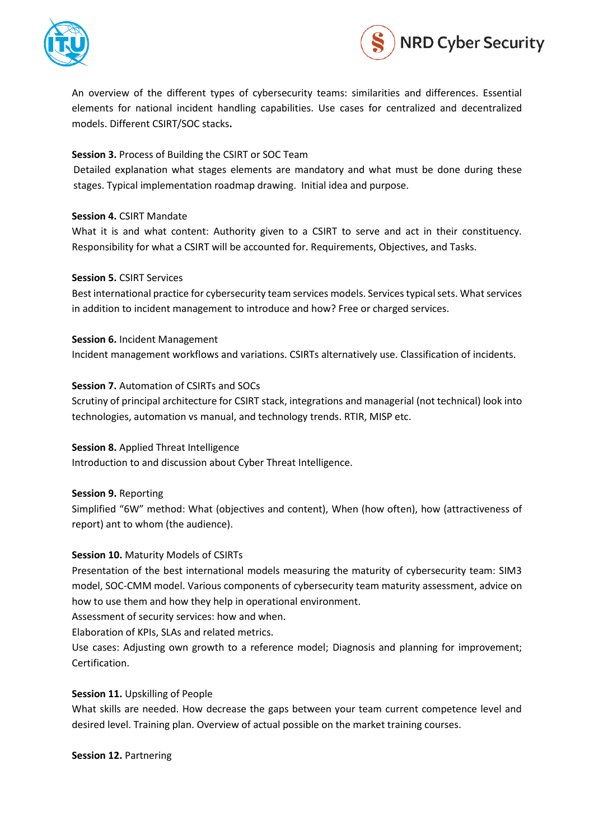



An overview of the different types of cybersecurity teams: similarities and differences. Essential elements for national incident handling capabilities. Use cases for centralized and decentralized models. Different CSIRT/SOC stacks**.**

# **Session 3.** Process of Building the CSIRT or SOC Team

Detailed explanation what stages elements are mandatory and what must be done during these stages. Typical implementation roadmap drawing. Initial idea and purpose.

#### **Session 4.** CSIRT Mandate

What it is and what content: Authority given to a CSIRT to serve and act in their constituency. Responsibility for what a CSIRT will be accounted for. Requirements, Objectives, and Tasks.

#### **Session 5.** CSIRT Services

Best international practice for cybersecurity team services models. Services typical sets. What services in addition to incident management to introduce and how? Free or charged services.

**Session 6.** Incident Management Incident management workflows and variations. CSIRTs alternatively use. Classification of incidents.

## **Session 7.** Automation of CSIRTs and SOCs

Scrutiny of principal architecture for CSIRT stack, integrations and managerial (not technical) look into technologies, automation vs manual, and technology trends. RTIR, MISP etc.

#### **Session 8.** Applied Threat Intelligence

Introduction to and discussion about Cyber Threat Intelligence.

**Session 9.** Reporting

Simplified "6W" method: What (objectives and content), When (how often), how (attractiveness of report) ant to whom (the audience).

#### **Session 10.** Maturity Models of CSIRTs

Presentation of the best international models measuring the maturity of cybersecurity team: SIM3 model, SOC-CMM model. Various components of cybersecurity team maturity assessment, advice on how to use them and how they help in operational environment.

Assessment of security services: how and when.

Elaboration of KPIs, SLAs and related metrics.

Use cases: Adjusting own growth to a reference model; Diagnosis and planning for improvement; Certification.

#### **Session 11.** Upskilling of People

What skills are needed. How decrease the gaps between your team current competence level and desired level. Training plan. Overview of actual possible on the market training courses.

**Session 12.** Partnering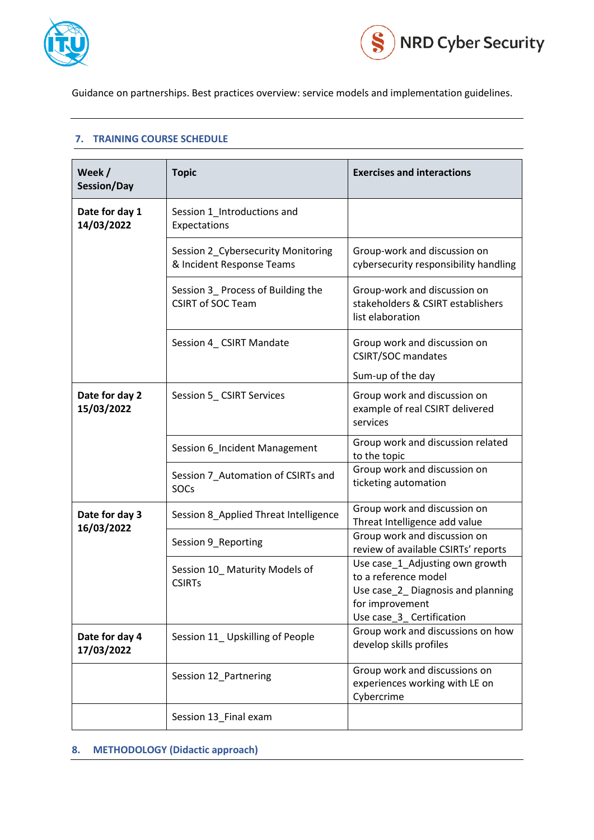



Guidance on partnerships. Best practices overview: service models and implementation guidelines.

#### **7. TRAINING COURSE SCHEDULE**

| Week /<br>Session/Day        | <b>Topic</b>                                                    | <b>Exercises and interactions</b>                                                                                                           |
|------------------------------|-----------------------------------------------------------------|---------------------------------------------------------------------------------------------------------------------------------------------|
| Date for day 1<br>14/03/2022 | Session 1_Introductions and<br>Expectations                     |                                                                                                                                             |
|                              | Session 2_Cybersecurity Monitoring<br>& Incident Response Teams | Group-work and discussion on<br>cybersecurity responsibility handling                                                                       |
|                              | Session 3_ Process of Building the<br><b>CSIRT of SOC Team</b>  | Group-work and discussion on<br>stakeholders & CSIRT establishers<br>list elaboration                                                       |
|                              | Session 4_ CSIRT Mandate                                        | Group work and discussion on<br><b>CSIRT/SOC mandates</b><br>Sum-up of the day                                                              |
| Date for day 2<br>15/03/2022 | Session 5_CSIRT Services                                        | Group work and discussion on<br>example of real CSIRT delivered<br>services                                                                 |
|                              | Session 6_Incident Management                                   | Group work and discussion related<br>to the topic                                                                                           |
|                              | Session 7_Automation of CSIRTs and<br><b>SOCs</b>               | Group work and discussion on<br>ticketing automation                                                                                        |
| Date for day 3               | Session 8_Applied Threat Intelligence                           | Group work and discussion on<br>Threat Intelligence add value                                                                               |
| 16/03/2022                   | Session 9_Reporting                                             | Group work and discussion on<br>review of available CSIRTs' reports                                                                         |
|                              | Session 10_Maturity Models of<br><b>CSIRTs</b>                  | Use case_1_Adjusting own growth<br>to a reference model<br>Use case_2_Diagnosis and planning<br>for improvement<br>Use case_3_Certification |
| Date for day 4<br>17/03/2022 | Session 11_Upskilling of People                                 | Group work and discussions on how<br>develop skills profiles                                                                                |
|                              | Session 12_Partnering                                           | Group work and discussions on<br>experiences working with LE on<br>Cybercrime                                                               |
|                              | Session 13_Final exam                                           |                                                                                                                                             |

# **8. METHODOLOGY (Didactic approach)**